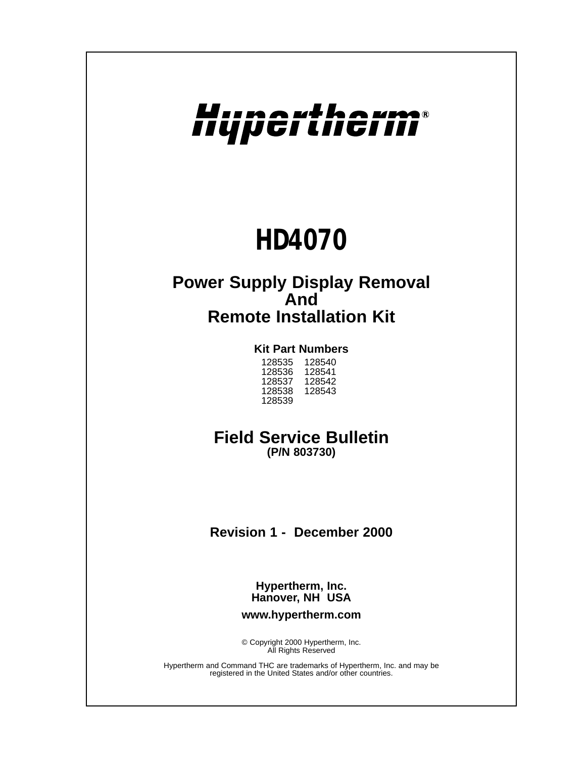# Hupertherm®

## *HD4070*

## **Power Supply Display Removal And Remote Installation Kit**

## **Kit Part Numbers**

| 128540 |
|--------|
| 128541 |
|        |
| 128542 |
| 128543 |
|        |
|        |

## **Field Service Bulletin**

**(P/N 803730)**

**Revision 1 - December 2000**

**Hypertherm, Inc. Hanover, NH USA**

**www.hypertherm.com**

© Copyright 2000 Hypertherm, Inc. All Rights Reserved

Hypertherm and Command THC are trademarks of Hypertherm, Inc. and may be registered in the United States and/or other countries.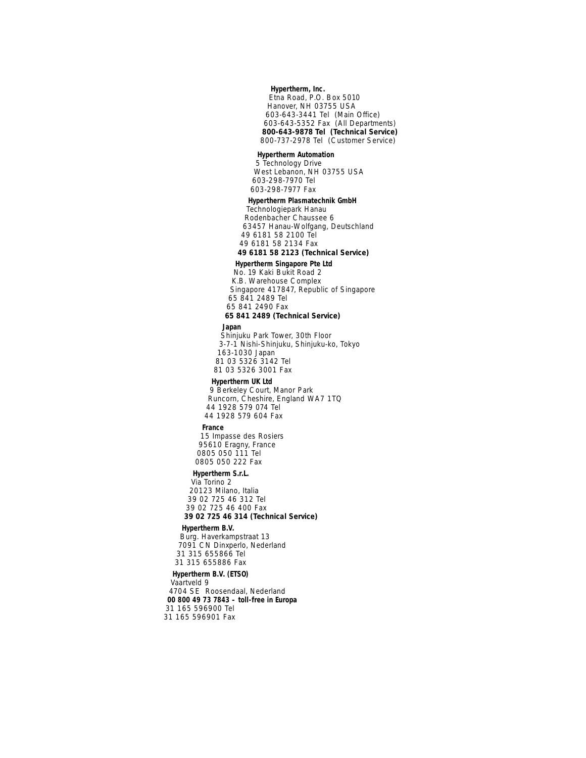#### *Hypertherm, Inc.*

*Etna Road, P.O. Box 5010 Hanover, NH 03755 USA 603-643-3441 Tel (Main Office) 603-643-5352 Fax (All Departments) 800-643-9878 Tel (Technical Service) 800-737-2978 Tel (Customer Service)* 

#### *Hypertherm Automation*

*5 Technology Drive West Lebanon, NH 03755 USA 603-298-7970 Tel 603-298-7977 Fax*

#### *Hypertherm Plasmatechnik GmbH*

*Technologiepark Hanau Rodenbacher Chaussee 6 63457 Hanau-Wolfgang, Deutschland 49 6181 58 2100 Tel 49 6181 58 2134 Fax 49 6181 58 2123 (Technical Service)*

#### *Hypertherm Singapore Pte Ltd*

*No. 19 Kaki Bukit Road 2 K.B. Warehouse Complex Singapore 417847, Republic of Singapore 65 841 2489 Tel 65 841 2490 Fax 65 841 2489 (Technical Service)*

#### *Japan*

*Shinjuku Park Tower, 30th Floor 3-7-1 Nishi-Shinjuku, Shinjuku-ko, Tokyo 163-1030 Japan 81 03 5326 3142 Tel 81 03 5326 3001 Fax* 

#### *Hypertherm UK Ltd*

*9 Berkeley Court, Manor Park Runcorn, Cheshire, England WA7 1TQ 44 1928 579 074 Tel 44 1928 579 604 Fax* 

#### *France*

*15 Impasse des Rosiers 95610 Eragny, France 0805 050 111 Tel 0805 050 222 Fax* 

#### *Hypertherm S.r.L.*

*Via Torino 2 20123 Milano, Italia 39 02 725 46 312 Tel 39 02 725 46 400 Fax 39 02 725 46 314 (Technical Service)*

#### *Hypertherm B.V.*

*Burg. Haverkampstraat 13 7091 CN Dinxperlo, Nederland 31 315 655866 Tel 31 315 655886 Fax*

#### *Hypertherm B.V. (ETSO)*

*Vaartveld 9 4704 SE Roosendaal, Nederland 00 800 49 73 7843 – toll-free in Europa 31 165 596900 Tel 31 165 596901 Fax*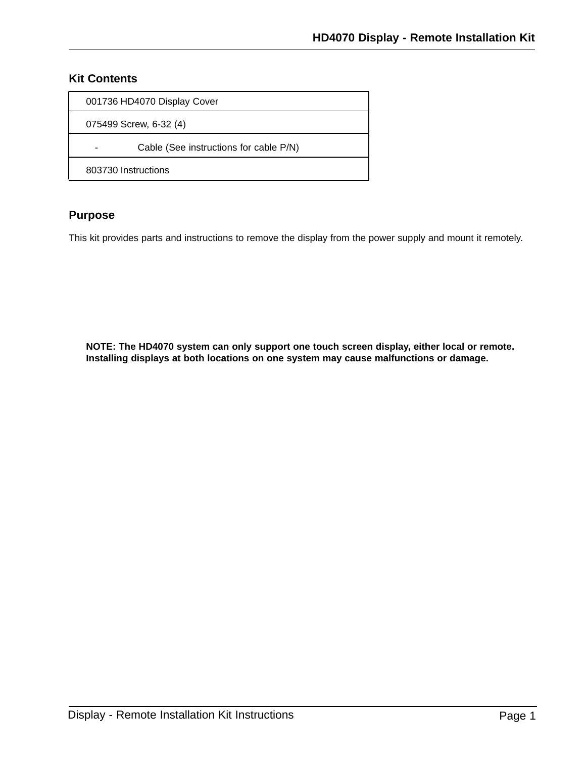## **Kit Contents**

| 001736 HD4070 Display Cover            |
|----------------------------------------|
| 075499 Screw, 6-32 (4)                 |
| Cable (See instructions for cable P/N) |
| 803730 Instructions                    |

## **Purpose**

This kit provides parts and instructions to remove the display from the power supply and mount it remotely.

**NOTE: The HD4070 system can only support one touch screen display, either local or remote. Installing displays at both locations on one system may cause malfunctions or damage.**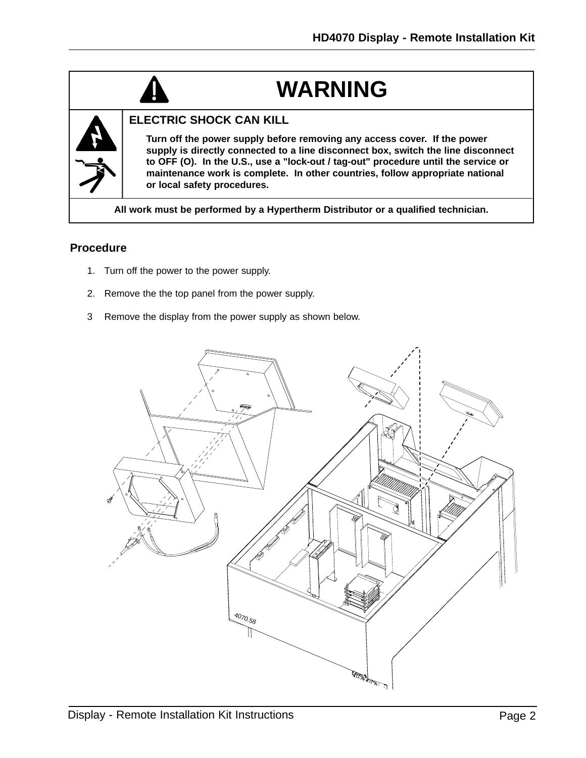## **WARNING**



### **ELECTRIC SHOCK CAN KILL**

**Turn off the power supply before removing any access cover. If the power supply is directly connected to a line disconnect box, switch the line disconnect to OFF (O). In the U.S., use a "lock-out / tag-out" procedure until the service or maintenance work is complete. In other countries, follow appropriate national or local safety procedures.**

**All work must be performed by a Hypertherm Distributor or a qualified technician.**

### **Procedure**

- 1. Turn off the power to the power supply.
- 2. Remove the the top panel from the power supply.
- 3 Remove the display from the power supply as shown below.

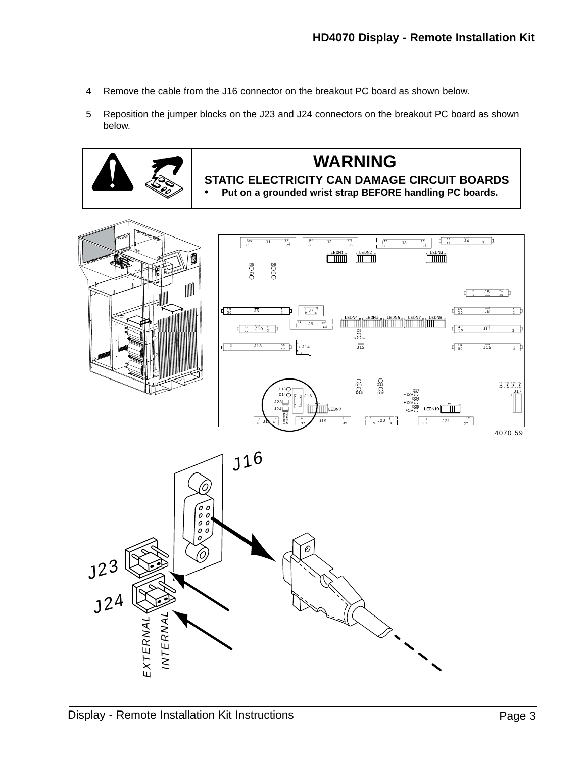- 4 Remove the cable from the J16 connector on the breakout PC board as shown below.
- 5 Reposition the jumper blocks on the J23 and J24 connectors on the breakout PC board as shown below.



## **WARNING**

**STATIC ELECTRICITY CAN DAMAGE CIRCUIT BOARDS • Put on a grounded wrist strap BEFORE handling PC boards.**



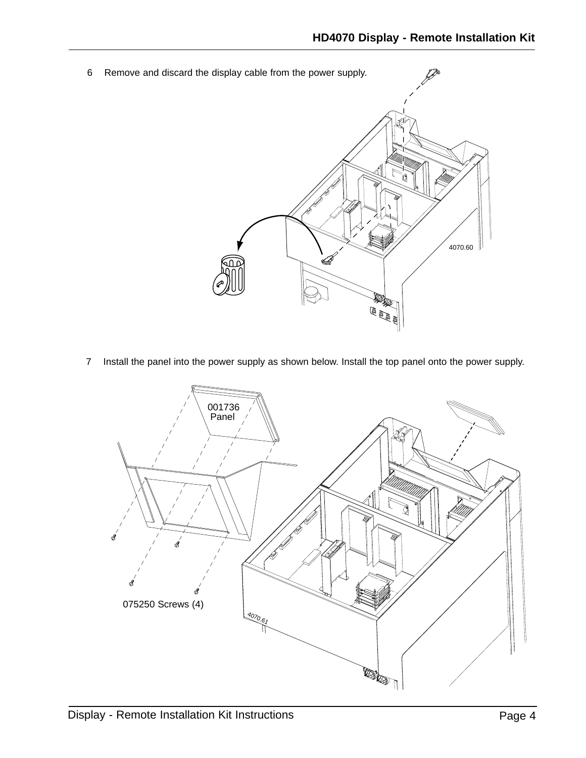

7 Install the panel into the power supply as shown below. Install the top panel onto the power supply.

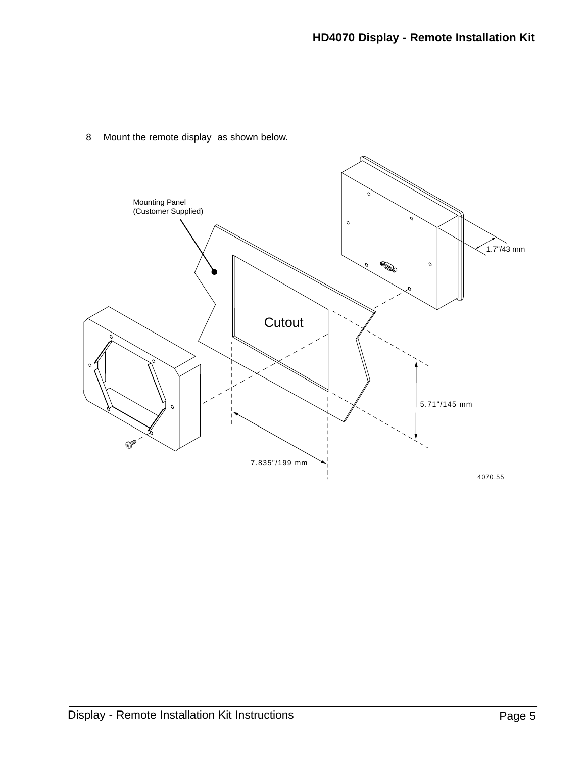8 Mount the remote display as shown below.